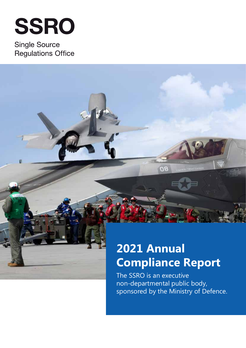# **SSRO**

**Single Source Regulations Office** 

## **2021 Annual Compliance Report**

**DB** 

The SSRO is an executive non-departmental public body, sponsored by the Ministry of Defence.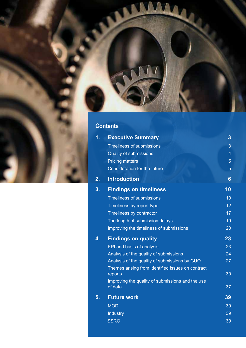

### **Contents**

| 1. | <b>Executive Summary</b>                                     | 3              |
|----|--------------------------------------------------------------|----------------|
|    | <b>Timeliness of submissions</b>                             | 3              |
|    | <b>Quality of submissions</b>                                | $\overline{4}$ |
|    | <b>Pricing matters</b>                                       | 5              |
|    | <b>Consideration for the future</b>                          | $\overline{5}$ |
| 2. | <b>Introduction</b>                                          | 6              |
| 3. | <b>Findings on timeliness</b>                                | 10             |
|    | <b>Timeliness of submissions</b>                             | 10             |
|    | Timeliness by report type                                    | 12             |
|    | Timeliness by contractor                                     | 17             |
|    | The length of submission delays                              | 19             |
|    | Improving the timeliness of submissions                      | 20             |
| 4. | <b>Findings on quality</b>                                   | 23             |
|    | KPI and basis of analysis                                    | 23             |
|    | Analysis of the quality of submissions                       | 24             |
|    | Analysis of the quality of submissions by GUO                | 27             |
|    | Themes arising from identified issues on contract<br>reports | 30             |
|    | Improving the quality of submissions and the use             |                |
|    | of data                                                      | 37             |
| 5. | <b>Future work</b>                                           | 39             |
|    | <b>MOD</b>                                                   | 39             |
|    | Industry                                                     | 39             |
|    | <b>SSRO</b>                                                  | 39             |
|    |                                                              |                |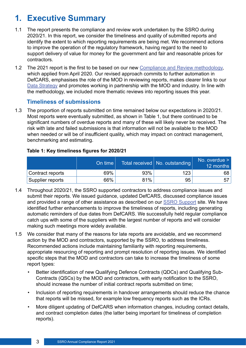## <span id="page-2-0"></span>**1. Executive Summary**

- 1.1 The report presents the compliance and review work undertaken by the SSRO during 2020/21. In this report, we consider the timeliness and quality of submitted reports and identify the extent to which reporting requirements are being met. We recommend actions to improve the operation of the regulatory framework, having regard to the need to support delivery of value for money for the government and fair and reasonable prices for contractors.
- 1.2 The 2021 report is the first to be based on our new [Compliance and Review methodology,](https://www.gov.uk/government/publications/compliance-and-review-methodology-january-2020) which applied from April 2020. Our revised approach commits to further automation in DefCARS, emphasises the role of the MOD in reviewing reports, makes clearer links to our [Data Strategy](https://www.gov.uk/government/consultations/ssro-data-strategy) and promotes working in partnership with the MOD and industry. In line with the methodology, we included more thematic reviews into reporting issues this year.

#### **Timeliness of submissions**

1.3 The proportion of reports submitted on time remained below our expectations in 2020/21. Most reports were eventually submitted, as shown in Table 1, but there continued to be signifcant numbers of overdue reports and many of these will likely never be received. The risk with late and failed submissions is that information will not be available to the MOD when needed or will be of insufficient quality, which may impact on contract management, benchmarking and estimating.

#### **Table 1: Key timeliness fgures for 2020/21**

|                  | On time |     | Total received   No. outstanding | No. overdue $>$<br>12 months |
|------------------|---------|-----|----------------------------------|------------------------------|
| Contract reports | 69%     | 93% | 123                              | 68                           |
| Supplier reports | 66%     | 81% | 95                               | 57                           |

- 1.4 Throughout 2020/21, the SSRO supported contractors to address compliance issues and submit their reports. We issued guidance, updated DefCARS, discussed compliance issues and provided a range of other assistance as described on our [SSRO Support](https://www.gov.uk/guidance/ssro-support) site. We have identifed further enhancements to improve the timeliness of reports, including generating automatic reminders of due dates from DefCARS. We successfully held regular compliance catch ups with some of the suppliers with the largest number of reports and will consider making such meetings more widely available.
- 1.5 We consider that many of the reasons for late reports are avoidable, and we recommend action by the MOD and contractors, supported by the SSRO, to address timeliness. Recommended actions include maintaining familiarity with reporting requirements, appropriate resourcing of reporting and prompt resolution of reporting issues. We identifed specific steps that the MOD and contractors can take to increase the timeliness of some report types:
	- Better identifcation of new Qualifying Defence Contracts (QDCs) and Qualifying Sub-Contracts (QSCs) by the MOD and contractors, with early notification to the SSRO. should increase the number of initial contract reports submitted on time;
	- Inclusion of reporting requirements in handover arrangements should reduce the chance that reports will be missed, for example low frequency reports such as the ICRs.
	- More diligent updating of DefCARS when information changes, including contact details, and contract completion dates (the latter being important for timeliness of completion reports).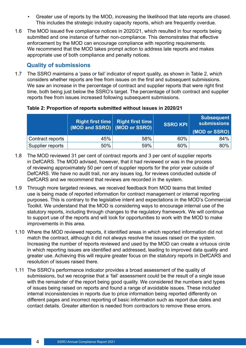- <span id="page-3-0"></span>• Greater use of reports by the MOD, increasing the likelihood that late reports are chased. This includes the strategic industry capacity reports, which are frequently overdue.
- 1.6 The MOD issued fve compliance notices in 2020/21, which resulted in four reports being submitted and one instance of further non-compliance. This demonstrates that efective enforcement by the MOD can encourage compliance with reporting requirements. We recommend that the MOD takes prompt action to address late reports and makes appropriate use of both compliance and penalty notices.

#### **Quality of submissions**

1.7 The SSRO maintains a 'pass or fail' indicator of report quality, as shown in Table 2, which considers whether reports are free from issues on the frst and subsequent submissions. We saw an increase in the percentage of contract and supplier reports that were right first time, both being just below the SSRO's target. The percentage of both contract and supplier reports free from issues increased following subsequent submissions.

#### **Table 2: Proportion of reports submitted without issues in 2020/21**

|                  | <b>Right first time</b><br>$(MOD \text{ and } SSRO)$ (MOD or SSRO) | Right first time | SSRO KPI | <b>Subsequent</b><br><b>submissions</b><br>(MOD or SSRO) |
|------------------|--------------------------------------------------------------------|------------------|----------|----------------------------------------------------------|
| Contract reports | 45%                                                                | 58%              | 60%      | 84%                                                      |
| Supplier reports | 50%                                                                | 59%              | 60%      | 80%                                                      |

- 1.8 The MOD reviewed 31 per cent of contract reports and 3 per cent of supplier reports in DefCARS. The MOD advised, however, that it had reviewed or was in the process of reviewing approximately 50 per cent of supplier reports for the prior year outside of DefCARS. We have no audit trail, nor any issues log, for reviews conducted outside of DefCARS and we recommend that reviews are recorded in the system.
- 1.9 Through more targeted reviews, we received feedback from MOD teams that limited use is being made of reported information for contract management or internal reporting purposes. This is contrary to the legislative intent and expectations in the MOD's Commercial Toolkit. We understand that the MOD is considering ways to encourage internal use of the statutory reports, including through changes to the regulatory framework. We will continue to support use of the reports and will look for opportunities to work with the MOD to make improvements in this area.
- 1.10 Where the MOD reviewed reports, it identifed areas in which reported information did not match the contract, although it did not always resolve the issues raised on the system. Increasing the number of reports reviewed and used by the MOD can create a virtuous circle in which reporting issues are identifed and addressed, leading to improved data quality and greater use. Achieving this will require greater focus on the statutory reports in DefCARS and resolution of issues raised there.
- 1.11 The SSRO's performance indicator provides a broad assessment of the quality of submissions, but we recognise that a 'fail' assessment could be the result of a single issue with the remainder of the report being good quality. We considered the numbers and types of issues being raised on reports and found a range of avoidable issues. These included internal inconsistencies in reports due to price information being reported diferently on diferent pages and incorrect reporting of basic information such as report due dates and contact details. Greater attention is needed from contractors to remove these errors.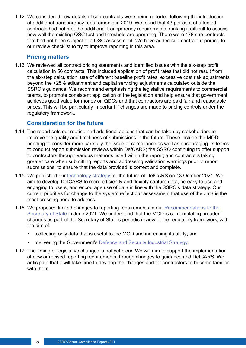<span id="page-4-0"></span>1.12 We considered how details of sub-contracts were being reported following the introduction of additional transparency requirements in 2019. We found that 43 per cent of afected contracts had not met the additional transparency requirements, making it difficult to assess how well the existing QSC test and threshold are operating. There were 178 sub-contracts that had not been subject to a QSC assessment. We have added sub-contract reporting to our review checklist to try to improve reporting in this area.

#### **Pricing matters**

1.13 We reviewed all contract pricing statements and identifed issues with the six-step proft calculation in 56 contracts. This included application of proft rates that did not result from the six-step calculation, use of different baseline profit rates, excessive cost risk adjustments beyond the +25% adjustment and capital servicing adjustments calculated outside the SSRO's guidance. We recommend emphasising the legislative requirements to commercial teams, to promote consistent application of the legislation and help ensure that government achieves good value for money on QDCs and that contractors are paid fair and reasonable prices. This will be particularly important if changes are made to pricing controls under the regulatory framework.

#### **Consideration for the future**

- 1.14 The report sets out routine and additional actions that can be taken by stakeholders to improve the quality and timeliness of submissions in the future. These include the MOD needing to consider more carefully the issue of compliance as well as encouraging its teams to conduct report submission reviews within DefCARS; the SSRO continuing to offer support to contractors through various methods listed within the report; and contractors taking greater care when submitting reports and addressing validation warnings prior to report submissions, to ensure that the data provided is correct and complete.
- 1.15 We published our [technology strategy](https://assets.publishing.service.gov.uk/government/uploads/system/uploads/attachment_data/file/1024455/DefCARS_future_technology_strategyA.pdf) for the future of DefCARS on 13 October 2021. We aim to develop DefCARS to more efficiently and flexibly capture data, be easy to use and engaging to users, and encourage use of data in line with the SSRO's data strategy. Our current priorities for change to the system refect our assessment that use of the data is the most pressing need to address.
- 1.16 We proposed limited changes to reporting requirements in our Recommendations to the [Secretary of State](https://assets.publishing.service.gov.uk/government/uploads/system/uploads/attachment_data/file/993792/Review_of_Legislation_Recommendations_June_2021Apdf.pdf) in June 2021. We understand that the MOD is contemplating broader changes as part of the Secretary of State's periodic review of the regulatory framework, with the aim of:
	- collecting only data that is useful to the MOD and increasing its utility; and
	- delivering the Government's **[Defence and Security Industrial Strategy](https://assets.publishing.service.gov.uk/government/uploads/system/uploads/attachment_data/file/971983/Defence_and_Security_Industrial_Strategy_-_FINAL.pdf)**.
- 1.17 The timing of legislative changes is not yet clear. We will aim to support the implementation of new or revised reporting requirements through changes to guidance and DefCARS. We anticipate that it will take time to develop the changes and for contractors to become familiar with them.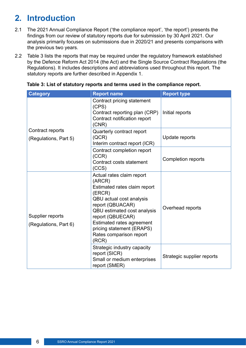## <span id="page-5-0"></span>**2. Introduction**

- 2.1 The 2021 Annual Compliance Report ('the compliance report', 'the report') presents the fndings from our review of statutory reports due for submission by 30 April 2021. Our analysis primarily focuses on submissions due in 2020/21 and presents comparisons with the previous two years.
- 2.2 Table 3 lists the reports that may be required under the regulatory framework established by the Defence Reform Act 2014 (the Act) and the Single Source Contract Regulations (the Regulations). It includes descriptions and abbreviations used throughout this report. The statutory reports are further described in Appendix 1.

| <b>Category</b>                           | <b>Report name</b>                                                                                                                                                                                                                                                             | <b>Report type</b>         |
|-------------------------------------------|--------------------------------------------------------------------------------------------------------------------------------------------------------------------------------------------------------------------------------------------------------------------------------|----------------------------|
|                                           | Contract pricing statement<br>(CPS)<br>Contract reporting plan (CRP)<br>Contract notification report<br>(CNR)                                                                                                                                                                  | Initial reports            |
| Contract reports<br>(Regulations, Part 5) | Quarterly contract report<br>(QCR)<br>Interim contract report (ICR)                                                                                                                                                                                                            | Update reports             |
|                                           | Contract completion report<br>(CCR)<br>Contract costs statement<br>(CCS)                                                                                                                                                                                                       | <b>Completion reports</b>  |
| Supplier reports<br>(Regulations, Part 6) | Actual rates claim report<br>(ARCR)<br>Estimated rates claim report<br>(ERCR)<br>QBU actual cost analysis<br>report (QBUACAR)<br>QBU estimated cost analysis<br>report (QBUECAR)<br>Estimated rates agreement<br>pricing statement (ERAPS)<br>Rates comparison report<br>(RCR) | Overhead reports           |
|                                           | Strategic industry capacity<br>report (SICR)<br>Small or medium enterprises<br>report (SMER)                                                                                                                                                                                   | Strategic supplier reports |

**Table 3: List of statutory reports and terms used in the compliance report.**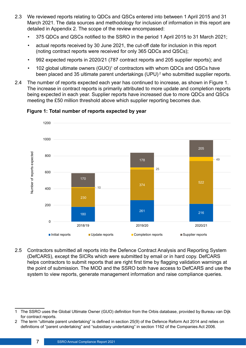- 2.3 We reviewed reports relating to QDCs and QSCs entered into between 1 April 2015 and 31 March 2021. The data sources and methodology for inclusion of information in this report are detailed in Appendix 2. The scope of the review encompassed:
	- 375 QDCs and QSCs notifed to the SSRO in the period 1 April 2015 to 31 March 2021;
	- actual reports received by 30 June 2021, the cut-off date for inclusion in this report (noting contract reports were received for only 365 QDCs and QSCs);
	- 992 expected reports in 2020/21 (787 contract reports and 205 supplier reports); and
	- 102 global ultimate owners  $(GUO)^{1}$  of contractors with whom QDCs and QSCs have been placed and 35 ultimate parent undertakings (UPU) $^{\text{2}}$  who submitted supplier reports.
- 2.4 The number of reports expected each year has continued to increase, as shown in Figure 1. The increase in contract reports is primarily attributed to more update and completion reports being expected in each year. Supplier reports have increased due to more QDCs and QSCs meeting the £50 million threshold above which supplier reporting becomes due.



#### **Figure 1: Total number of reports expected by year**

2.5 Contractors submitted all reports into the Defence Contract Analysis and Reporting System (DefCARS), except the SICRs which were submitted by email or in hard copy. DefCARS helps contractors to submit reports that are right first time by flagging validation warnings at the point of submission. The MOD and the SSRO both have access to DefCARS and use the system to view reports, generate management information and raise compliance queries.

<sup>1</sup> The SSRO uses the Global Ultimate Owner (GUO) defnition from the Orbis database, provided by Bureau van Dijk for contract reports.

<sup>2</sup> The term "ultimate parent undertaking" is defned in section 25(9) of the Defence Reform Act 2014 and relies on defnitions of "parent undertaking" and "subsidiary undertaking" in section 1162 of the Companies Act 2006.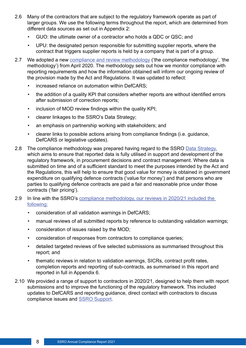- 2.6 Many of the contractors that are subject to the regulatory framework operate as part of larger groups. We use the following terms throughout the report, which are determined from diferent data sources as set out in Appendix 2:
	- GUO: the ultimate owner of a contractor who holds a QDC or QSC; and
	- UPU: the designated person responsible for submitting supplier reports, where the contract that triggers supplier reports is held by a company that is part of a group.
- 2.7 We adopted a new [compliance and review methodology](https://assets.publishing.service.gov.uk/government/uploads/system/uploads/attachment_data/file/915749/Compliance_and_review_methodology_January_2020_A.pdf) ('the compliance methodology', 'the methodology') from April 2020. The methodology sets out how we monitor compliance with reporting requirements and how the information obtained will inform our ongoing review of the provision made by the Act and Regulations. It was updated to refect:
	- increased reliance on automation within DefCARS;
	- the addition of a quality KPI that considers whether reports are without identified errors after submission of correction reports;
	- inclusion of MOD review fndings within the quality KPI;
	- clearer linkages to the SSRO's Data Strategy;
	- an emphasis on partnership working with stakeholders; and
	- clearer links to possible actions arising from compliance fndings (i.e. guidance, DefCARS or legislative updates).
- 2.8 The compliance methodology was prepared having regard to the SSRO [Data Strategy](https://assets.publishing.service.gov.uk/government/uploads/system/uploads/attachment_data/file/775290/SSRO_data_strategy.pdf). which aims to ensure that reported data is fully utilised in support and development of the regulatory framework, in procurement decisions and contract management. Where data is submitted on time and of a sufficient standard to meet the purposes intended by the Act and the Regulations, this will help to ensure that good value for money is obtained in government expenditure on qualifying defence contracts ('value for money') and that persons who are parties to qualifying defence contracts are paid a fair and reasonable price under those contracts ('fair pricing').
- 2.9 In line with the SSRO's [compliance methodology,](https://assets.publishing.service.gov.uk/government/uploads/system/uploads/attachment_data/file/915749/Compliance_and_review_methodology_January_2020_A.pdf) our reviews in 2020/21 included the following:
	- consideration of all validation warnings in DefCARS;
	- manual reviews of all submitted reports by reference to outstanding validation warnings;
	- consideration of issues raised by the MOD;
	- consideration of responses from contractors to compliance queries;
	- detailed targeted reviews of five selected submissions as summarised throughout this report; and
	- thematic reviews in relation to validation warnings, SICRs, contract profit rates, completion reports and reporting of sub-contracts, as summarised in this report and reported in full in Appendix 6.
- 2.10 We provided a range of support to contractors in 2020/21, designed to help them with report submissions and to improve the functioning of the regulatory framework. This included updates to DefCARS and reporting guidance, direct contact with contractors to discuss compliance issues and [SSRO Support](https://www.gov.uk/guidance/ssro-support).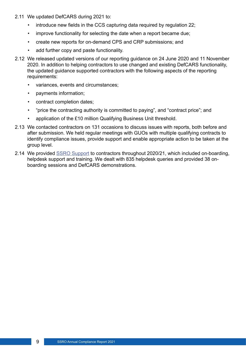- 2.11 We updated DefCARS during 2021 to:
	- introduce new fields in the CCS capturing data required by regulation 22;
	- improve functionality for selecting the date when a report became due;
	- create new reports for on-demand CPS and CRP submissions; and
	- add further copy and paste functionality.
- 2.12 We released updated versions of our reporting guidance on 24 June 2020 and 11 November 2020. In addition to helping contractors to use changed and existing DefCARS functionality, the updated guidance supported contractors with the following aspects of the reporting requirements:
	- variances, events and circumstances;
	- payments information;
	- contract completion dates;
	- "price the contracting authority is committed to paying", and "contract price"; and
	- application of the £10 million Qualifying Business Unit threshold.
- 2.13 We contacted contractors on 131 occasions to discuss issues with reports, both before and after submission. We held regular meetings with GUOs with multiple qualifying contracts to identify compliance issues, provide support and enable appropriate action to be taken at the group level.
- 2.14 We provided [SSRO Support](https://www.gov.uk/guidance/ssro-support) to contractors throughout 2020/21, which included on-boarding, helpdesk support and training. We dealt with 835 helpdesk queries and provided 38 onboarding sessions and DefCARS demonstrations.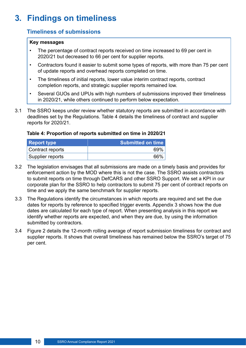## <span id="page-9-0"></span>**3. Findings on timeliness**

#### **Timeliness of submissions**

#### **Key messages**

- The percentage of contract reports received on time increased to 69 per cent in 2020/21 but decreased to 66 per cent for supplier reports.
- Contractors found it easier to submit some types of reports, with more than 75 per cent of update reports and overhead reports completed on time.
- The timeliness of initial reports, lower value interim contract reports, contract completion reports, and strategic supplier reports remained low.
- Several GUOs and UPUs with high numbers of submissions improved their timeliness in 2020/21, while others continued to perform below expectation.
- 3.1 The SSRO keeps under review whether statutory reports are submitted in accordance with deadlines set by the Regulations. Table 4 details the timeliness of contract and supplier reports for 2020/21.

#### **Table 4: Proportion of reports submitted on time in 2020/21**

| <b>Report type</b> | <b>Submitted on time</b> |
|--------------------|--------------------------|
| Contract reports   | 69%                      |
| Supplier reports   | 66%                      |

- 3.2 The legislation envisages that all submissions are made on a timely basis and provides for enforcement action by the MOD where this is not the case. The SSRO assists contractors to submit reports on time through DefCARS and other SSRO Support. We set a KPI in our corporate plan for the SSRO to help contractors to submit 75 per cent of contract reports on time and we apply the same benchmark for supplier reports.
- 3.3 The Regulations identify the circumstances in which reports are required and set the due dates for reports by reference to specifed trigger events. Appendix 3 shows how the due dates are calculated for each type of report. When presenting analysis in this report we identify whether reports are expected, and when they are due, by using the information submitted by contractors.
- 3.4 Figure 2 details the 12-month rolling average of report submission timeliness for contract and supplier reports. It shows that overall timeliness has remained below the SSRO's target of 75 per cent.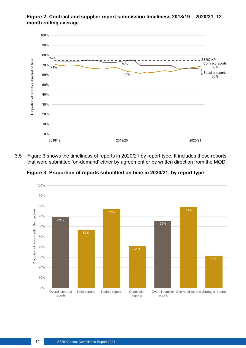#### **Figure 2: Contract and supplier report submission timeliness 2018/19 – 2020/21, 12 month rolling average**



3.5 Figure 3 shows the timeliness of reports in 2020/21 by report type. It includes those reports that were submitted 'on-demand' either by agreement or by written direction from the MOD.



**Figure 3: Proportion of reports submitted on time in 2020/21, by report type**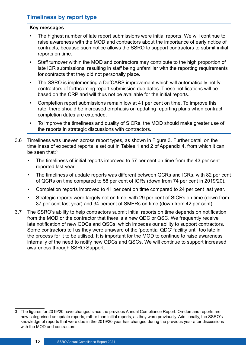#### <span id="page-11-0"></span>**Timeliness by report type**

#### **Key messages**

- The highest number of late report submissions were initial reports. We will continue to raise awareness with the MOD and contractors about the importance of early notice of contracts, because such notice allows the SSRO to support contractors to submit initial reports on time.
- Staff turnover within the MOD and contractors may contribute to the high proportion of late ICR submissions, resulting in staff being unfamiliar with the reporting requirements for contracts that they did not personally place.
- The SSRO is implementing a DefCARS improvement which will automatically notify contractors of forthcoming report submission due dates. These notifcations will be based on the CRP and will thus not be available for the initial reports.
- Completion report submissions remain low at 41 per cent on time. To improve this rate, there should be increased emphasis on updating reporting plans when contract completion dates are extended.
- To improve the timeliness and quality of SICRs, the MOD should make greater use of the reports in strategic discussions with contractors.
- 3.6 Timeliness was uneven across report types, as shown in Figure 3. Further detail on the timeliness of expected reports is set out in Tables 1 and 2 of Appendix 4, from which it can be seen that:<sup>3</sup>
	- The timeliness of initial reports improved to 57 per cent on time from the 43 per cent reported last year.
	- The timeliness of update reports was diferent between QCRs and ICRs, with 82 per cent of QCRs on time compared to 58 per cent of ICRs (down from 74 per cent in 2019/20).
	- Completion reports improved to 41 per cent on time compared to 24 per cent last year.
	- Strategic reports were largely not on time, with 29 per cent of SICRs on time (down from 37 per cent last year) and 34 percent of SMERs on time (down from 42 per cent).
- 3.7 The SSRO's ability to help contractors submit initial reports on time depends on notifcation from the MOD or the contractor that there is a new QDC or QSC. We frequently receive late notifcation of new QDCs and QSCs, which impedes our ability to support contractors. Some contractors tell us they were unaware of the 'potential QDC' facility until too late in the process for it to be utilised. It is important for the MOD to continue to raise awareness internally of the need to notify new QDCs and QSCs. We will continue to support increased awareness through SSRO Support.

<sup>3</sup> The fgures for 2019/20 have changed since the previous Annual Compliance Report: On-demand reports are now categorised as update reports, rather than initial reports, as they were previously. Additionally, the SSRO's knowledge of reports that were due in the 2019/20 year has changed during the previous year after discussions with the MOD and contractors.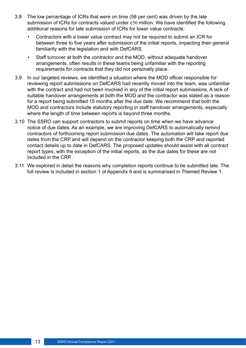- 3.8 The low percentage of ICRs that were on time (58 per cent) was driven by the late submission of ICRs for contracts valued under £50 million. We have identifed the following additional reasons for late submission of ICRs for lower value contracts:
	- Contractors with a lower value contract may not be required to submit an ICR for between three to five years after submission of the initial reports, impacting their general familiarity with the legislation and with DefCARS.
	- Staff turnover at both the contractor and the MOD, without adequate handover arrangements, often results in these teams being unfamiliar with the reporting requirements for contracts that they did not personally place.
- 3.9 In our targeted reviews, we identified a situation where the MOD officer responsible for reviewing report submissions on DefCARS had recently moved into the team, was unfamiliar with the contract and had not been involved in any of the initial report submissions. A lack of suitable handover arrangements at both the MOD and the contractor was stated as a reason for a report being submitted 15 months after the due date. We recommend that both the MOD and contractors include statutory reporting in staff handover arrangements, especially where the length of time between reports is beyond three months.
- 3.10 The SSRO can support contractors to submit reports on time when we have advance notice of due dates. As an example, we are improving DefCARS to automatically remind contractors of forthcoming report submission due dates. The automation will take report due dates from the CRP and will depend on the contractor keeping both the CRP and reported contact details up to date in DefCARS. The proposed updates should assist with all contract report types, with the exception of the initial reports, as the due dates for these are not included in the CRP.
- 3.11 We explored in detail the reasons why completion reports continue to be submitted late. The full review is included in section 1 of Appendix 6 and is summarised in Themed Review 1.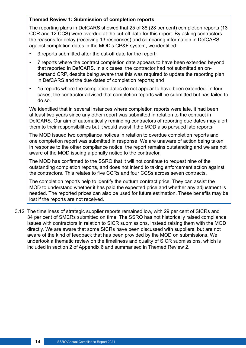#### **Themed Review 1: Submission of completion reports**

The reporting plans in DefCARS showed that 25 of 88 (28 per cent) completion reports (13 CCR and 12 CCS) were overdue at the cut-off date for this report. By asking contractors the reasons for delay (receiving 13 responses) and comparing information in DefCARS against completion dates in the MOD's CP&F system, we identifed:

- 3 reports submitted after the cut-off date for the report;
- 7 reports where the contract completion date appears to have been extended beyond that reported in DefCARS. In six cases, the contractor had not submitted an ondemand CRP, despite being aware that this was required to update the reporting plan in DefCARS and the due dates of completion reports; and
- 15 reports where the completion dates do not appear to have been extended. In four cases, the contractor advised that completion reports will be submitted but has failed to do so.

We identifed that in several instances where completion reports were late, it had been at least two years since any other report was submitted in relation to the contract in DefCARS. Our aim of automatically reminding contractors of reporting due dates may alert them to their responsibilities but it would assist if the MOD also pursued late reports.

The MOD issued two compliance notices in relation to overdue completion reports and one completion report was submitted in response. We are unaware of action being taken in response to the other compliance notice; the report remains outstanding and we are not aware of the MOD issuing a penalty notice to the contractor.

The MOD has confrmed to the SSRO that it will not continue to request nine of the outstanding completion reports, and does not intend to taking enforcement action against the contractors. This relates to fve CCRs and four CCSs across seven contracts.

The completion reports help to identify the outturn contract price. They can assist the MOD to understand whether it has paid the expected price and whether any adjustment is needed. The reported prices can also be used for future estimation. These benefts may be lost if the reports are not received.

3.12 The timeliness of strategic supplier reports remained low, with 29 per cent of SICRs and 34 per cent of SMERs submitted on time. The SSRO has not historically raised compliance issues with contractors in relation to SICR submissions, instead raising them with the MOD directly. We are aware that some SICRs have been discussed with suppliers, but are not aware of the kind of feedback that has been provided by the MOD on submissions. We undertook a thematic review on the timeliness and quality of SICR submissions, which is included in section 2 of Appendix 6 and summarised in Themed Review 2.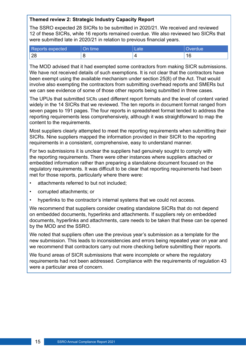#### **Themed review 2: Strategic Industry Capacity Report**

The SSRO expected 28 SICRs to be submitted in 2020/21. We received and reviewed 12 of these SICRs, while 16 reports remained overdue. We also reviewed two SICRs that were submitted late in 2020/21 in relation to previous fnancial years.

| Reports expected | On time | Late/ | Overdue    |
|------------------|---------|-------|------------|
| 28               | C       |       | $\sqrt{ }$ |

The MOD advised that it had exempted some contractors from making SICR submissions. We have not received details of such exemptions. It is not clear that the contractors have been exempt using the available mechanism under section 25(8) of the Act. That would involve also exempting the contractors from submitting overhead reports and SMERs but we can see evidence of some of those other reports being submitted in three cases.

The UPUs that submitted SICRs used diferent report formats and the level of content varied widely in the 14 SICRs that we reviewed. The ten reports in document format ranged from seven pages to 191 pages. The four reports in spreadsheet format tended to address the reporting requirements less comprehensively, although it was straightforward to map the content to the requirements.

Most suppliers clearly attempted to meet the reporting requirements when submitting their SICRs. Nine suppliers mapped the information provided in their SICR to the reporting requirements in a consistent, comprehensive, easy to understand manner.

For two submissions it is unclear the suppliers had genuinely sought to comply with the reporting requirements. There were other instances where suppliers attached or embedded information rather than preparing a standalone document focused on the regulatory requirements. It was difficult to be clear that reporting requirements had been met for those reports, particularly where there were:

- attachments referred to but not included;
- corrupted attachments; or
- hyperlinks to the contractor's internal systems that we could not access.

We recommend that suppliers consider creating standalone SICRs that do not depend on embedded documents, hyperlinks and attachments. If suppliers rely on embedded documents, hyperlinks and attachments, care needs to be taken that these can be opened by the MOD and the SSRO.

We noted that suppliers often use the previous year's submission as a template for the new submission. This leads to inconsistencies and errors being repeated year on year and we recommend that contractors carry out more checking before submitting their reports.

We found areas of SICR submissions that were incomplete or where the regulatory requirements had not been addressed. Compliance with the requirements of regulation 43 were a particular area of concern.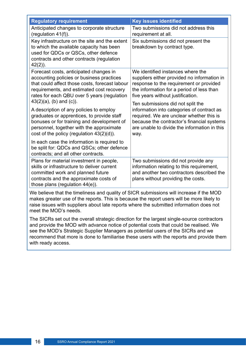| <b>Regulatory requirement</b>                                                                                                                                                                                                                                   | <b>Key issues identified</b>                                                                                                                                                                                                      |
|-----------------------------------------------------------------------------------------------------------------------------------------------------------------------------------------------------------------------------------------------------------------|-----------------------------------------------------------------------------------------------------------------------------------------------------------------------------------------------------------------------------------|
| Anticipated changes to corporate structure<br>(regulation 41(f)).                                                                                                                                                                                               | Two submissions did not address this<br>requirement at all.                                                                                                                                                                       |
| Key infrastructure on the site and the extent<br>to which the available capacity has been<br>used for QDCs or QSCs, other defence<br>contracts and other contracts (regulation<br>$42(2)$ ).                                                                    | Six submissions did not present the<br>breakdown by contract type.                                                                                                                                                                |
| Forecast costs, anticipated changes in<br>accounting policies or business practices<br>that could affect those costs, forecast labour<br>requirements, and estimated cost recovery<br>rates for each QBU over 5 years (regulation<br>$43(2)(a)$ , (b) and (c)). | We identified instances where the<br>suppliers either provided no information in<br>response to the requirement or provided<br>the information for a period of less than<br>five years without justification.                     |
| A description of any policies to employ<br>graduates or apprentices, to provide staff<br>bonuses or for training and development of<br>personnel, together with the approximate<br>cost of the policy (regulation 43(2)(d)).                                    | Ten submissions did not split the<br>information into categories of contract as<br>required. We are unclear whether this is<br>because the contractor's financial systems<br>are unable to divide the information in this<br>way. |
| In each case the information is required to<br>be split for: QDCs and QSCs; other defence<br>contracts; and all other contracts.                                                                                                                                |                                                                                                                                                                                                                                   |
| Plans for material investment in people,<br>skills or infrastructure to deliver current<br>committed work and planned future<br>contracts and the approximate costs of<br>those plans (regulation 44(e)).                                                       | Two submissions did not provide any<br>information relating to this requirement,<br>and another two contractors described the<br>plans without providing the costs.                                                               |

We believe that the timeliness and quality of SICR submissions will increase if the MOD makes greater use of the reports. This is because the report users will be more likely to raise issues with suppliers about late reports where the submitted information does not meet the MOD's needs.

The SICRs set out the overall strategic direction for the largest single-source contractors and provide the MOD with advance notice of potential costs that could be realised. We see the MOD's Strategic Supplier Managers as potential users of the SICRs and we recommend that more is done to familiarise these users with the reports and provide them with ready access.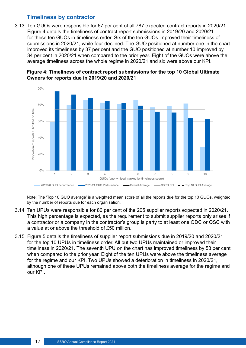#### **Timeliness by contractor**

<span id="page-16-0"></span>3.13 Ten GUOs were responsible for 67 per cent of all 787 expected contract reports in 2020/21. Figure 4 details the timeliness of contract report submissions in 2019/20 and 2020/21 for these ten GUOs in timeliness order. Six of the ten GUOs improved their timeliness of submissions in 2020/21, while four declined. The GUO positioned at number one in the chart improved its timeliness by 37 per cent and the GUO positioned at number 10 improved by 34 per cent in 2020/21 when compared to the prior year. Eight of the GUOs were above the average timeliness across the whole regime in 2020/21 and six were above our KPI.





Note: The 'Top 10 GUO average' is a weighted mean score of all the reports due for the top 10 GUOs, weighted by the number of reports due for each organisation.

- 3.14 Ten UPUs were responsible for 80 per cent of the 205 supplier reports expected in 2020/21. This high percentage is expected, as the requirement to submit supplier reports only arises if a contractor or a company in the contractor's group is party to at least one QDC or QSC with a value at or above the threshold of £50 million.
- 3.15 Figure 5 details the timeliness of supplier report submissions due in 2019/20 and 2020/21 for the top 10 UPUs in timeliness order. All but two UPUs maintained or improved their timeliness in 2020/21. The seventh UPU on the chart has improved timeliness by 53 per cent when compared to the prior year. Eight of the ten UPUs were above the timeliness average for the regime and our KPI. Two UPUs showed a deterioration in timeliness in 2020/21, although one of these UPUs remained above both the timeliness average for the regime and our KPI.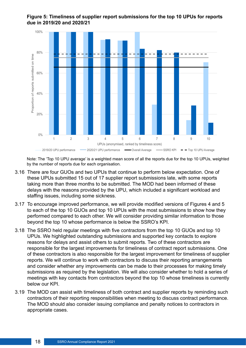

#### **Figure 5: Timeliness of supplier report submissions for the top 10 UPUs for reports due in 2019/20 and 2020/21**

Note: The 'Top 10 UPU average' is a weighted mean score of all the reports due for the top 10 UPUs, weighted by the number of reports due for each organisation.

- 3.16 There are four GUOs and two UPUs that continue to perform below expectation. One of these UPUs submitted 15 out of 17 supplier report submissions late, with some reports taking more than three months to be submitted. The MOD had been informed of these delays with the reasons provided by the UPU, which included a signifcant workload and staffing issues, including some sickness.
- 3.17 To encourage improved performance, we will provide modifed versions of Figures 4 and 5 to each of the top 10 GUOs and top 10 UPUs with the most submissions to show how they performed compared to each other. We will consider providing similar information to those beyond the top 10 whose performance is below the SSRO's KPI.
- 3.18 The SSRO held regular meetings with fve contractors from the top 10 GUOs and top 10 UPUs. We highlighted outstanding submissions and supported key contacts to explore reasons for delays and assist others to submit reports. Two of these contractors are responsible for the largest improvements for timeliness of contract report submissions. One of these contractors is also responsible for the largest improvement for timeliness of supplier reports. We will continue to work with contractors to discuss their reporting arrangements and consider whether any improvements can be made to their processes for making timely submissions as required by the legislation. We will also consider whether to hold a series of meetings with key contacts from contractors beyond the top 10 whose timeliness is currently below our KPI.
- 3.19 The MOD can assist with timeliness of both contract and supplier reports by reminding such contractors of their reporting responsibilities when meeting to discuss contract performance. The MOD should also consider issuing compliance and penalty notices to contractors in appropriate cases.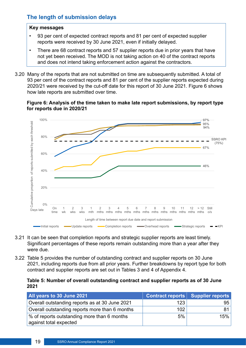#### <span id="page-18-0"></span>**The length of submission delays**

#### **Key messages**

- 93 per cent of expected contract reports and 81 per cent of expected supplier reports were received by 30 June 2021, even if initially delayed.
- There are 68 contract reports and 57 supplier reports due in prior years that have not yet been received. The MOD is not taking action on 40 of the contract reports and does not intend taking enforcement action against the contractors.
- 3.20 Many of the reports that are not submitted on time are subsequently submitted. A total of 93 per cent of the contract reports and 81 per cent of the supplier reports expected during 2020/21 were received by the cut-of date for this report of 30 June 2021. Figure 6 shows how late reports are submitted over time.

#### **Figure 6: Analysis of the time taken to make late report submissions, by report type for reports due in 2020/21**



- 3.21 It can be seen that completion reports and strategic supplier reports are least timely. Signifcant percentages of these reports remain outstanding more than a year after they were due.
- 3.22 Table 5 provides the number of outstanding contract and supplier reports on 30 June 2021, including reports due from all prior years. Further breakdowns by report type for both contract and supplier reports are set out in Tables 3 and 4 of Appendix 4.

#### **Table 5: Number of overall outstanding contract and supplier reports as of 30 June 2021**

| All years to 30 June 2021                                             |     | Contract reports   Supplier reports |
|-----------------------------------------------------------------------|-----|-------------------------------------|
| Overall outstanding reports as at 30 June 2021                        | 123 | 95                                  |
| Overall outstanding reports more than 6 months                        | 102 |                                     |
| % of reports outstanding more than 6 months<br>against total expected | 5%  | 15%                                 |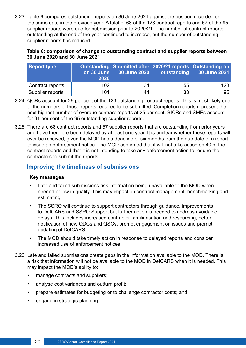<span id="page-19-0"></span>3.23 Table 6 compares outstanding reports on 30 June 2021 against the position recorded on the same date in the previous year. A total of 68 of the 123 contract reports and 57 of the 95 supplier reports were due for submission prior to 2020/21. The number of contract reports outstanding at the end of the year continued to increase, but the number of outstanding supplier reports has reduced.

#### **Table 6: comparison of change to outstanding contract and supplier reports between 30 June 2020 and 30 June 2021**

| <b>Report type</b> | on 30 June<br>2020 | $\vert$ 30 June 2020 $\vert$ | outstanding | Outstanding Submitted after 2020/21 reports Outstanding on<br>30 June 2021 |
|--------------------|--------------------|------------------------------|-------------|----------------------------------------------------------------------------|
| Contract reports   | 102 <sub>1</sub>   | 34                           | 55          | 123                                                                        |
| Supplier reports   | 101                | 44                           | 38          | 95                                                                         |

- 3.24 QCRs account for 29 per cent of the 123 outstanding contract reports. This is most likely due to the numbers of those reports required to be submitted. Completion reports represent the next highest number of overdue contract reports at 25 per cent. SICRs and SMEs account for 91 per cent of the 95 outstanding supplier reports.
- 3.25 There are 68 contract reports and 57 supplier reports that are outstanding from prior years and have therefore been delayed by at least one year. It is unclear whether these reports will ever be received, given the MOD has a deadline of six months from the due date of a report to issue an enforcement notice. The MOD confrmed that it will not take action on 40 of the contract reports and that it is not intending to take any enforcement action to require the contractors to submit the reports.

#### **Improving the timeliness of submissions**

#### **Key messages**

- Late and failed submissions risk information being unavailable to the MOD when needed or low in quality. This may impact on contract management, benchmarking and estimating.
- The SSRO will continue to support contractors through guidance, improvements to DefCARS and [SSRO Support](https://www.gov.uk/guidance/ssro-support) but further action is needed to address avoidable delays. This includes increased contractor familiarisation and resourcing, better notifcation of new QDCs and QSCs, prompt engagement on issues and prompt updating of DefCARS.
- The MOD should take timely action in response to delayed reports and consider increased use of enforcement notices.
- 3.26 Late and failed submissions create gaps in the information available to the MOD. There is a risk that information will not be available to the MOD in DefCARS when it is needed. This may impact the MOD's ability to:
	- manage contracts and suppliers;
	- analyse cost variances and outturn proft;
	- prepare estimates for budgeting or to challenge contractor costs; and
	- engage in strategic planning.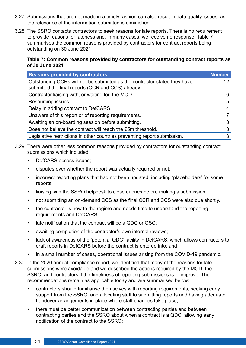- 3.27 Submissions that are not made in a timely fashion can also result in data quality issues, as the relevance of the information submitted is diminished.
- 3.28 The SSRO contacts contractors to seek reasons for late reports. There is no requirement to provide reasons for lateness and, in many cases, we receive no response. Table 7 summarises the common reasons provided by contractors for contract reports being outstanding on 30 June 2021.

#### **Table 7: Common reasons provided by contractors for outstanding contract reports as of 30 June 2021**

| <b>Reasons provided by contractors</b>                                                                                          | <b>Number</b>   |
|---------------------------------------------------------------------------------------------------------------------------------|-----------------|
| Outstanding QCRs will not be submitted as the contractor stated they have<br>submitted the final reports (CCR and CCS) already. | 12 <sup>2</sup> |
| Contractor liaising with, or waiting for, the MOD.                                                                              | 6               |
| Resourcing issues.                                                                                                              | $5^{\circ}$     |
| Delay in adding contract to DefCARS.                                                                                            | $\overline{4}$  |
| Unaware of this report or of reporting requirements.                                                                            | $\overline{7}$  |
| Awaiting an on-boarding session before submitting.                                                                              | 3               |
| Does not believe the contract will reach the £5m threshold.                                                                     | 3               |
| Legislative restrictions in other countries preventing report submission.                                                       | 3               |

- 3.29 There were other less common reasons provided by contractors for outstanding contract submissions which included:
	- DefCARS access issues;
	- disputes over whether the report was actually required or not;
	- incorrect reporting plans that had not been updated, including 'placeholders' for some reports;
	- liaising with the SSRO helpdesk to close queries before making a submission;
	- not submitting an on-demand CCS as the final CCR and CCS were also due shortly.
	- the contractor is new to the regime and needs time to understand the reporting requirements and DefCARS;
	- late notification that the contract will be a QDC or QSC;
	- awaiting completion of the contractor's own internal reviews;
	- lack of awareness of the 'potential QDC' facility in DefCARS, which allows contractors to draft reports in DefCARS before the contract is entered into; and
	- in a small number of cases, operational issues arising from the COVID-19 pandemic.
- 3.30 In the 2020 annual compliance report, we identifed that many of the reasons for late submissions were avoidable and we described the actions required by the MOD, the SSRO, and contractors if the timeliness of reporting submissions is to improve. The recommendations remain as applicable today and are summarised below:
	- contractors should familiarise themselves with reporting requirements, seeking early support from the SSRO, and allocating staff to submitting reports and having adequate handover arrangements in place where staff changes take place:
	- there must be better communication between contracting parties and between contracting parties and the SSRO about when a contract is a QDC, allowing early notifcation of the contract to the SSRO;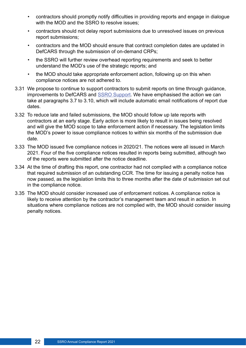- contractors should promptly notify difficulties in providing reports and engage in dialogue with the MOD and the SSRO to resolve issues;
- contractors should not delay report submissions due to unresolved issues on previous report submissions;
- contractors and the MOD should ensure that contract completion dates are updated in DefCARS through the submission of on-demand CRPs;
- the SSRO will further review overhead reporting requirements and seek to better understand the MOD's use of the strategic reports; and
- the MOD should take appropriate enforcement action, following up on this when compliance notices are not adhered to.
- 3.31 We propose to continue to support contractors to submit reports on time through guidance, improvements to DefCARS and [SSRO Support](https://www.gov.uk/guidance/ssro-support). We have emphasised the action we can take at paragraphs 3.7 to 3.10, which will include automatic email notifcations of report due dates.
- 3.32 To reduce late and failed submissions, the MOD should follow up late reports with contractors at an early stage. Early action is more likely to result in issues being resolved and will give the MOD scope to take enforcement action if necessary. The legislation limits the MOD's power to issue compliance notices to within six months of the submission due date.
- 3.33 The MOD issued fve compliance notices in 2020/21. The notices were all issued in March 2021. Four of the fve compliance notices resulted in reports being submitted, although two of the reports were submitted after the notice deadline.
- 3.34 At the time of drafting this report, one contractor had not complied with a compliance notice that required submission of an outstanding CCR. The time for issuing a penalty notice has now passed, as the legislation limits this to three months after the date of submission set out in the compliance notice.
- 3.35 The MOD should consider increased use of enforcement notices. A compliance notice is likely to receive attention by the contractor's management team and result in action. In situations where compliance notices are not complied with, the MOD should consider issuing penalty notices.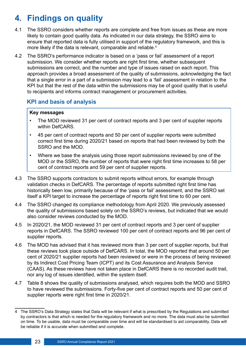## <span id="page-22-0"></span>**4. Findings on quality**

- 4.1 The SSRO considers whether reports are complete and free from issues as these are more likely to contain good quality data. As indicated in our data strategy, the SSRO aims to ensure that reported data is fully utilised in support of the regulatory framework, and this is more likely if the data is relevant, comparable and reliable.<sup>4</sup>
- 4.2 The SSRO's performance indicator is based on a 'pass or fail' assessment of a report submission. We consider whether reports are right first time, whether subsequent submissions are correct, and the number and type of issues raised on each report. This approach provides a broad assessment of the quality of submissions, acknowledging the fact that a single error in a part of a submission may lead to a 'fail' assessment in relation to the KPI but that the rest of the data within the submissions may be of good quality that is useful to recipients and informs contract management or procurement activities.

#### **KPI and basis of analysis**

#### **Key messages**

- The MOD reviewed 31 per cent of contract reports and 3 per cent of supplier reports within DefCARS.
- 45 per cent of contract reports and 50 per cent of supplier reports were submitted correct first time during 2020/21 based on reports that had been reviewed by both the SSRO and the MOD.
- Where we base the analysis using those report submissions reviewed by one of the MOD or the SSRO, the number of reports that were right first time increases to 58 per cent of contract reports and 59 per cent of supplier reports.
- 4.3 The SSRO supports contractors to submit reports without errors, for example through validation checks in DefCARS. The percentage of reports submitted right first time has historically been low, primarily because of the 'pass or fail' assessment, and the SSRO set itself a KPI target to increase the percentage of reports right frst time to 60 per cent.
- 4.4 The SSRO changed its compliance methodology from April 2020. We previously assessed the quality of submissions based solely on the SSRO's reviews, but indicated that we would also consider reviews conducted by the MOD.
- 4.5 In 2020/21, the MOD reviewed 31 per cent of contract reports and 3 per cent of supplier reports in DefCARS. The SSRO reviewed 100 per cent of contract reports and 96 per cent of supplier reports.
- 4.6 The MOD has advised that it has reviewed more than 3 per cent of supplier reports, but that these reviews took place outside of DefCARS. In total, the MOD reported that around 50 per cent of 2020/21 supplier reports had been reviewed or were in the process of being reviewed by its Indirect Cost Pricing Team (ICPT) and its Cost Assurance and Analysis Service (CAAS). As these reviews have not taken place in DefCARS there is no recorded audit trail, nor any log of issues identifed, within the system itself.
- 4.7 Table 8 shows the quality of submissions analysed, which requires both the MOD and SSRO to have reviewed the submissions. Forty-fve per cent of contract reports and 50 per cent of supplier reports were right first time in 2020/21.

<sup>4</sup> The SSRO's Data Strategy states that Data will be relevant if what is prescribed by the Regulations and submitted by contractors is that which is needed for the regulatory framework and no more. The data must also be submitted on time. To be usable, data must be comparable over time and will be standardised to aid comparability. Data will be reliable if it is accurate when submitted and complete.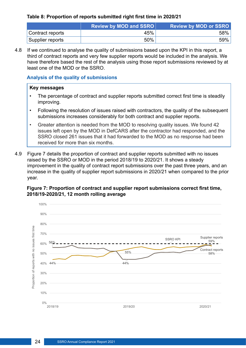#### <span id="page-23-0"></span>**Table 8: Proportion of reports submitted right frst time in 2020/21**

|                  | <b>Review by MOD and SSRO</b> | <b>Review by MOD or SSRO</b> |
|------------------|-------------------------------|------------------------------|
| Contract reports | 45%                           | 58%                          |
| Supplier reports | 50%                           | 59%                          |

4.8 If we continued to analyse the quality of submissions based upon the KPI in this report, a third of contract reports and very few supplier reports would be included in the analysis. We have therefore based the rest of the analysis using those report submissions reviewed by at least one of the MOD or the SSRO.

#### **Analysis of the quality of submissions**

#### **Key messages**

- The percentage of contract and supplier reports submitted correct first time is steadily improving.
- Following the resolution of issues raised with contractors, the quality of the subsequent submissions increases considerably for both contract and supplier reports.
- Greater attention is needed from the MOD to resolving quality issues. We found 42 issues left open by the MOD in DefCARS after the contractor had responded, and the SSRO closed 261 issues that it had forwarded to the MOD as no response had been received for more than six months.
- 4.9 Figure 7 details the proportion of contract and supplier reports submitted with no issues raised by the SSRO or MOD in the period 2018/19 to 2020/21. It shows a steady improvement in the quality of contract report submissions over the past three years, and an increase in the quality of supplier report submissions in 2020/21 when compared to the prior year.

#### **Figure 7: Proportion of contract and supplier report submissions correct frst time, 2018/19-2020/21, 12 month rolling average**

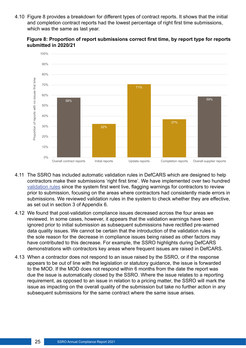4.10 Figure 8 provides a breakdown for diferent types of contract reports. It shows that the initial and completion contract reports had the lowest percentage of right first time submissions, which was the same as last year.





- 4.11 The SSRO has included automatic validation rules in DefCARS which are designed to help contractors make their submissions 'right frst time'. We have implemented over two hundred [validation rules](https://assets.publishing.service.gov.uk/government/uploads/system/uploads/attachment_data/file/989047/20210519_Validations_for_Publication_v9.1.pdf) since the system first went live, flagging warnings for contractors to review prior to submission, focusing on the areas where contractors had consistently made errors in submissions. We reviewed validation rules in the system to check whether they are efective, as set out in section 3 of Appendix 6.
- 4.12 We found that post-validation compliance issues decreased across the four areas we reviewed. In some cases, however, it appears that the validation warnings have been ignored prior to initial submission as subsequent submissions have rectifed pre-warned data quality issues. We cannot be certain that the introduction of the validation rules is the sole reason for the decrease in compliance issues being raised as other factors may have contributed to this decrease. For example, the SSRO highlights during DefCARS demonstrations with contractors key areas where frequent issues are raised in DefCARS.
- 4.13 When a contractor does not respond to an issue raised by the SSRO, or if the response appears to be out of line with the legislation or statutory guidance, the issue is forwarded to the MOD. If the MOD does not respond within 6 months from the date the report was due the issue is automatically closed by the SSRO. Where the issue relates to a reporting requirement, as opposed to an issue in relation to a pricing matter, the SSRO will mark the issue as impacting on the overall quality of the submission but take no further action in any subsequent submissions for the same contract where the same issue arises.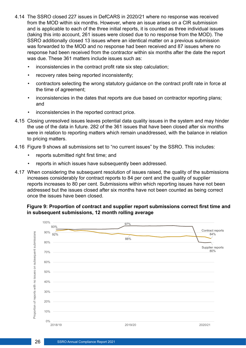- 4.14 The SSRO closed 227 issues in DefCARS in 2020/21 where no response was received from the MOD within six months. However, where an issue arises on a CIR submission and is applicable to each of the three initial reports, it is counted as three individual issues (taking this into account, 261 issues were closed due to no response from the MOD). The SSRO additionally closed 13 issues where an identical matter on a previous submission was forwarded to the MOD and no response had been received and 87 issues where no response had been received from the contractor within six months after the date the report was due. These 361 matters include issues such as:
	- inconsistencies in the contract profit rate six step calculation;
	- recovery rates being reported inconsistently;
	- contractors selecting the wrong statutory guidance on the contract profit rate in force at the time of agreement;
	- inconsistencies in the dates that reports are due based on contractor reporting plans; and
	- inconsistencies in the reported contract price.
- 4.15 Closing unresolved issues leaves potential data quality issues in the system and may hinder the use of the data in future. 282 of the 361 issues that have been closed after six months were in relation to reporting matters which remain unaddressed, with the balance in relation to pricing matters.
- 4.16 Figure 9 shows all submissions set to "no current issues" by the SSRO. This includes:
	- reports submitted right first time; and
	- reports in which issues have subsequently been addressed.
- 4.17 When considering the subsequent resolution of issues raised, the quality of the submissions increases considerably for contract reports to 84 per cent and the quality of supplier reports increases to 80 per cent. Submissions within which reporting issues have not been addressed but the issues closed after six months have not been counted as being correct once the issues have been closed.

#### **Figure 9: Proportion of contract and supplier report submissions correct frst time and in subsequent submissions, 12 month rolling average**

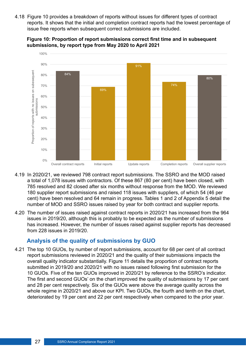<span id="page-26-0"></span>4.18 Figure 10 provides a breakdown of reports without issues for diferent types of contract reports. It shows that the initial and completion contract reports had the lowest percentage of issue free reports when subsequent correct submissions are included.



**Figure 10: Proportion of report submissions correct frst time and in subsequent submissions, by report type from May 2020 to April 2021** 

- 4.19 In 2020/21, we reviewed 798 contract report submissions. The SSRO and the MOD raised a total of 1,078 issues with contractors. Of these 867 (80 per cent) have been closed, with 785 resolved and 82 closed after six months without response from the MOD. We reviewed 180 supplier report submissions and raised 118 issues with suppliers, of which 54 (46 per cent) have been resolved and 64 remain in progress. Tables 1 and 2 of Appendix 5 detail the number of MOD and SSRO issues raised by year for both contract and supplier reports.
- 4.20 The number of issues raised against contract reports in 2020/21 has increased from the 964 issues in 2019/20, although this is probably to be expected as the number of submissions has increased. However, the number of issues raised against supplier reports has decreased from 228 issues in 2019/20.

#### **Analysis of the quality of submissions by GUO**

4.21 The top 10 GUOs, by number of report submissions, account for 68 per cent of all contract report submissions reviewed in 2020/21 and the quality of their submissions impacts the overall quality indicator substantially. Figure 11 details the proportion of contract reports submitted in 2019/20 and 2020/21 with no issues raised following frst submission for the 10 GUOs. Five of the ten GUOs improved in 2020/21 by reference to the SSRO's indicator. The frst and second GUOs' on the chart improved the quality of submissions by 17 per cent and 28 per cent respectively. Six of the GUOs were above the average quality across the whole regime in 2020/21 and above our KPI. Two GUOs, the fourth and tenth on the chart, deteriorated by 19 per cent and 22 per cent respectively when compared to the prior year.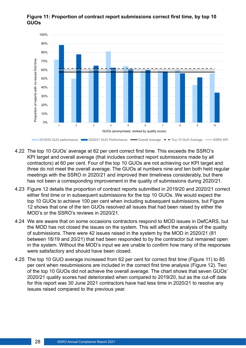

#### **Figure 11: Proportion of contract report submissions correct frst time, by top 10 GUOs**

- 4.22 The top 10 GUOs' average at 62 per cent correct frst time. This exceeds the SSRO's KPI target and overall average (that includes contract report submissions made by all contractors) at 60 per cent. Four of the top 10 GUOs are not achieving our KPI target and three do not meet the overall average. The GUOs at numbers nine and ten both held regular meetings with the SSRO in 2020/21 and improved their timeliness considerably, but there has not been a corresponding improvement in the quality of submissions during 2020/21.
- 4.23 Figure 12 details the proportion of contract reports submitted in 2019/20 and 2020/21 correct either frst time or in subsequent submissions for the top 10 GUOs. We would expect the top 10 GUOs to achieve 100 per cent when including subsequent submissions, but Figure 12 shows that one of the ten GUOs resolved all issues that had been raised by either the MOD's or the SSRO's reviews in 2020/21.
- 4.24 We are aware that on some occasions contractors respond to MOD issues in DefCARS, but the MOD has not closed the issues on the system. This will afect the analysis of the quality of submissions. There were 42 issues raised in the system by the MOD in 2020/21 (81 between 18/19 and 20/21) that had been responded to by the contractor but remained open in the system. Without the MOD's input we are unable to confrm how many of the responses were satisfactory and should have been closed.
- 4.25 The top 10 GUO average increased from 62 per cent for correct frst time (Figure 11) to 85 per cent when resubmissions are included in the correct frst time analysis (Figure 12). Two of the top 10 GUOs did not achieve the overall average. The chart shows that seven GUOs' 2020/21 quality scores had deteriorated when compared to 2019/20, but as the cut-off date for this report was 30 June 2021 contractors have had less time in 2020/21 to resolve any issues raised compared to the previous year.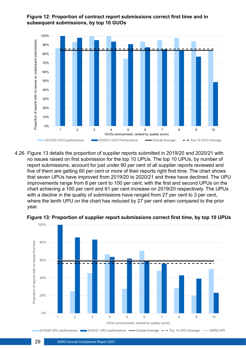

#### **Figure 12: Proportion of contract report submissions correct frst time and in subsequent submissions, by top 10 GUOs**

4.26 Figure 13 details the proportion of supplier reports submitted in 2019/20 and 2020/21 with no issues raised on frst submission for the top 10 UPUs. The top 10 UPUs, by number of report submissions, account for just under 90 per cent of all supplier reports reviewed and five of them are getting 60 per cent or more of their reports right first time. The chart shows that seven UPUs have improved from 2019/20 to 2020/21 and three have declined. The UPU improvements range from 8 per cent to 100 per cent, with the first and second UPUs on the chart achieving a 100 per cent and 61 per cent increase on 2019/20 respectively. The UPUs with a decline in the quality of submissions have ranged from 27 per cent to 3 per cent, where the tenth UPU on the chart has reduced by 27 per cent when compared to the prior year.



**Figure 13: Proportion of supplier report submissions correct frst time, by top 10 UPUs**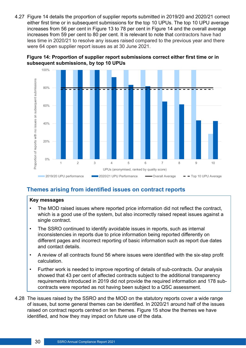<span id="page-29-0"></span>4.27 Figure 14 details the proportion of supplier reports submitted in 2019/20 and 2020/21 correct either frst time or in subsequent submissions for the top 10 UPUs. The top 10 UPU average increases from 56 per cent in Figure 13 to 78 per cent in Figure 14 and the overall average increases from 59 per cent to 80 per cent. It is relevant to note that contractors have had less time in 2020/21 to resolve any issues raised compared to the previous year and there were 64 open supplier report issues as at 30 June 2021.





#### **Themes arising from identifed issues on contract reports**

#### **Key messages**

- The MOD raised issues where reported price information did not reflect the contract, which is a good use of the system, but also incorrectly raised repeat issues against a single contract.
- The SSRO continued to identify avoidable issues in reports, such as internal inconsistencies in reports due to price information being reported diferently on diferent pages and incorrect reporting of basic information such as report due dates and contact details.
- A review of all contracts found 56 where issues were identified with the six-step profit calculation.
- Further work is needed to improve reporting of details of sub-contracts. Our analysis showed that 43 per cent of affected contracts subject to the additional transparency requirements introduced in 2019 did not provide the required information and 178 subcontracts were reported as not having been subject to a QSC assessment.
- 4.28 The issues raised by the SSRO and the MOD on the statutory reports cover a wide range of issues, but some general themes can be identifed. In 2020/21 around half of the issues raised on contract reports centred on ten themes. Figure 15 show the themes we have identifed, and how they may impact on future use of the data.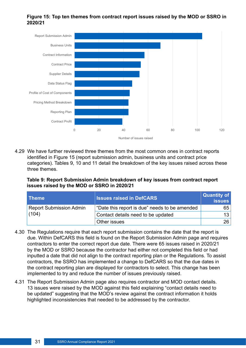#### **Figure 15: Top ten themes from contract report issues raised by the MOD or SSRO in 2020/21**



4.29 We have further reviewed three themes from the most common ones in contract reports identifed in Figure 15 (report submission admin, business units and contract price categories). Tables 9, 10 and 11 detail the breakdown of the key issues raised across these three themes.

**Table 9: Report Submission Admin breakdown of key issues from contract report issues raised by the MOD or SSRO in 2020/21** 

| <b>Theme</b>                            | <b>Issues raised in DefCARS</b>               | Quantity of<br><b>issues</b> |
|-----------------------------------------|-----------------------------------------------|------------------------------|
| <b>Report Submission Admin</b><br>(104) | "Date this report is due" needs to be amended | 65                           |
|                                         | Contact details need to be updated            | 13 <sup>1</sup>              |
|                                         | Other issues                                  | 26                           |

- 4.30 The Regulations require that each report submission contains the date that the report is due. Within DefCARS this feld is found on the Report Submission Admin page and requires contractors to enter the correct report due date. There were 65 issues raised in 2020/21 by the MOD or SSRO because the contractor had either not completed this feld or had inputted a date that did not align to the contract reporting plan or the Regulations. To assist contractors, the SSRO has implemented a change to DefCARS so that the due dates in the contract reporting plan are displayed for contractors to select. This change has been implemented to try and reduce the number of issues previously raised.
- 4.31 The Report Submission Admin page also requires contractor and MOD contact details. 13 issues were raised by the MOD against this feld explaining "contact details need to be updated" suggesting that the MOD's review against the contract information it holds highlighted inconsistencies that needed to be addressed by the contractor.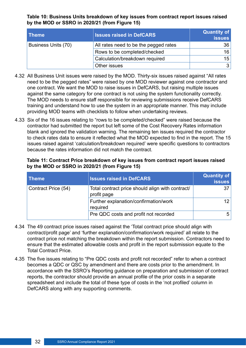**Table 10: Business Units breakdown of key issues from contract report issues raised by the MOD or SSRO in 2020/21 (from Figure 15)**

| <b>Theme</b>        | <b>Issues raised in DefCARS</b>       | <b>Quantity of</b><br><b>issues</b> |
|---------------------|---------------------------------------|-------------------------------------|
| Business Units (70) | All rates need to be the pegged rates | 36                                  |
|                     | Rows to be completed/checked          | 16                                  |
|                     | Calculation/breakdown required        | 15                                  |
|                     | Other issues                          | 3                                   |

- 4.32 All Business Unit issues were raised by the MOD. Thirty-six issues raised against "All rates need to be the pegged rates" were raised by one MOD reviewer against one contractor and one contract. We want the MOD to raise issues in DefCARS, but raising multiple issues against the same category for one contract is not using the system functionality correctly. The MOD needs to ensure staff responsible for reviewing submissions receive DefCARS training and understand how to use the system in an appropriate manner. This may include providing MOD teams with checklists to follow when undertaking reviews.
- 4.33 Six of the 16 issues relating to "rows to be completed/checked" were raised because the contractor had submitted the report but left some of the Cost Recovery Rates information blank and ignored the validation warning. The remaining ten issues required the contractor to check rates data to ensure it reflected what the MOD expected to find in the report. The 15 issues raised against 'calculation/breakdown required' were specific questions to contractors because the rates information did not match the contract.

| Table 11: Contract Price breakdown of key issues from contract report issues raised |
|-------------------------------------------------------------------------------------|
| by the MOD or SSRO in 2020/21 (from Figure 15)                                      |

| <b>Theme</b>        | <b>Issues raised in DefCARS</b>                                 | Quantity of<br><b>issues</b> |
|---------------------|-----------------------------------------------------------------|------------------------------|
| Contract Price (54) | Total contract price should align with contract/<br>profit page |                              |
|                     | Further explanation/confirmation/work<br>required               | 12 <sup>°</sup>              |
|                     | Pre QDC costs and profit not recorded                           | 5                            |

- 4.34 The 49 contract price issues raised against the 'Total contract price should align with contract/profit page' and 'further explanation/confirmation/work required' all relate to the contract price not matching the breakdown within the report submission. Contractors need to ensure that the estimated allowable costs and proft in the report submission equate to the Total Contract Price.
- 4.35 The fve issues relating to "Pre QDC costs and proft not recorded" refer to when a contract becomes a QDC or QSC by amendment and there are costs prior to the amendment. In accordance with the SSRO's Reporting guidance on preparation and submission of contract reports, the contractor should provide an annual profle of the prior costs in a separate spreadsheet and include the total of these type of costs in the 'not profiled' column in DefCARS along with any supporting comments.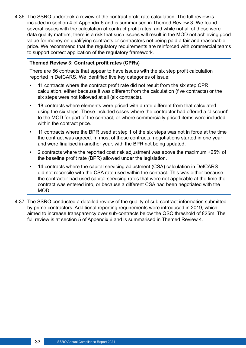4.36 The SSRO undertook a review of the contract proft rate calculation. The full review is included in section 4 of Appendix 6 and is summarised in Themed Review 3. We found several issues with the calculation of contract proft rates, and while not all of these were data quality matters, there is a risk that such issues will result in the MOD not achieving good value for money on qualifying contracts or contractors not being paid a fair and reasonable price. We recommend that the regulatory requirements are reinforced with commercial teams to support correct application of the regulatory framework.

#### **Themed Review 3: Contract profit rates (CPRs)**

There are 56 contracts that appear to have issues with the six step profit calculation reported in DefCARS. We identified five key categories of issue:

- 11 contracts where the contract profit rate did not result from the six step CPR calculation, either because it was diferent from the calculation (fve contracts) or the six steps were not followed at all (six contracts).
- 18 contracts where elements were priced with a rate diferent from that calculated using the six steps. These included cases where the contractor had ofered a 'discount' to the MOD for part of the contract, or where commercially priced items were included within the contract price.
- 11 contracts where the BPR used at step 1 of the six steps was not in force at the time the contract was agreed. In most of these contracts, negotiations started in one year and were fnalised in another year, with the BPR not being updated.
- 2 contracts where the reported cost risk adjustment was above the maximum +25% of the baseline profit rate (BPR) allowed under the legislation.
- 14 contracts where the capital servicing adjustment (CSA) calculation in DefCARS did not reconcile with the CSA rate used within the contract. This was either because the contractor had used capital servicing rates that were not applicable at the time the contract was entered into, or because a diferent CSA had been negotiated with the MOD.
- 4.37 The SSRO conducted a detailed review of the quality of sub-contract information submitted by prime contractors. Additional reporting requirements were introduced in 2019, which aimed to increase transparency over sub-contracts below the QSC threshold of £25m. The full review is at section 5 of Appendix 6 and is summarised in Themed Review 4.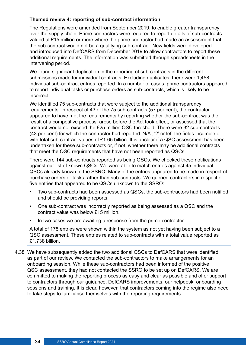#### **Themed review 4: reporting of sub-contract information**

The Regulations were amended from September 2019, to enable greater transparency over the supply chain. Prime contractors were required to report details of sub-contracts valued at £15 million or more where the prime contractor had made an assessment that the sub-contract would not be a qualifying sub-contract. New fields were developed and introduced into DefCARS from December 2019 to allow contractors to report these additional requirements. The information was submitted through spreadsheets in the intervening period.

We found significant duplication in the reporting of sub-contracts in the different submissions made for individual contracts. Excluding duplicates, there were 1,458 individual sub-contract entries reported. In a number of cases, prime contractors appeared to report individual tasks or purchase orders as sub-contracts, which is likely to be incorrect.

We identified 75 sub-contracts that were subject to the additional transparency requirements. In respect of 43 of the 75 sub-contracts (57 per cent), the contractor appeared to have met the requirements by reporting whether the sub-contract was the result of a competitive process, arose before the Act took effect, or assessed that the contract would not exceed the £25 million QSC threshold. There were 32 sub-contracts (43 per cent) for which the contractor had reported 'N/A', '?' or left the felds incomplete, with total sub-contract values of £1.65 billion. It is unclear if a QSC assessment has been undertaken for these sub-contracts or, if not, whether there may be additional contracts that meet the QSC requirements that have not been reported as QSCs.

There were 144 sub-contracts reported as being QSCs. We checked these notifcations against our list of known QSCs. We were able to match entries against 45 individual QSCs already known to the SSRO. Many of the entries appeared to be made in respect of purchase orders or tasks rather than sub-contracts. We queried contractors in respect of five entries that appeared to be QSCs unknown to the SSRO:

- Two sub-contracts had been assessed as QSCs, the sub-contractors had been notified and should be providing reports.
- One sub-contract was incorrectly reported as being assessed as a QSC and the contract value was below £15 million.
- In two cases we are awaiting a response from the prime contractor.

A total of 178 entries were shown within the system as not yet having been subject to a QSC assessment. These entries related to sub-contracts with a total value reported as £1.738 billion.

4.38 We have subsequently added the two additional QSCs to DefCARS that were identifed as part of our review. We contacted the sub-contractors to make arrangements for an onboarding session. While these sub-contractors had been informed of the positive QSC assessment, they had not contacted the SSRO to be set up on DefCARS. We are committed to making the reporting process as easy and clear as possible and offer support to contractors through our guidance, DefCARS improvements, our helpdesk, onboarding sessions and training. It is clear, however, that contractors coming into the regime also need to take steps to familiarise themselves with the reporting requirements.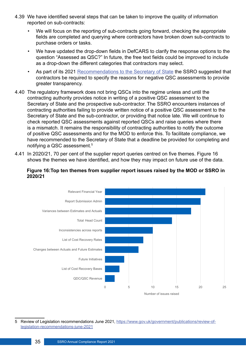- 4.39 We have identifed several steps that can be taken to improve the quality of information reported on sub-contracts:
	- We will focus on the reporting of sub-contracts going forward, checking the appropriate felds are completed and querying where contractors have broken down sub-contracts to purchase orders or tasks.
	- We have updated the drop-down fields in DefCARS to clarify the response options to the question "Assessed as QSC?" In future, the free text felds could be improved to include as a drop-down the diferent categories that contractors may select.
	- As part of its 2021 [Recommendations to the Secretary of State](https://assets.publishing.service.gov.uk/government/uploads/system/uploads/attachment_data/file/993792/Review_of_Legislation_Recommendations_June_2021Apdf.pdf) the SSRO suggested that contractors be required to specify the reasons for negative QSC assessments to provide greater transparency.
- 4.40 The regulatory framework does not bring QSCs into the regime unless and until the contracting authority provides notice in writing of a positive QSC assessment to the Secretary of State and the prospective sub-contractor. The SSRO encounters instances of contracting authorities failing to provide written notice of a positive QSC assessment to the Secretary of State and the sub-contractor, or providing that notice late. We will continue to check reported QSC assessments against reported QSCs and raise queries where there is a mismatch. It remains the responsibility of contracting authorities to notify the outcome of positive QSC assessments and for the MOD to enforce this. To facilitate compliance, we have recommended to the Secretary of State that a deadline be provided for completing and notifying a QSC assessment.5
- 4.41 In 2020/21, 70 per cent of the supplier report queries centred on fve themes. Figure 16 shows the themes we have identifed, and how they may impact on future use of the data.

#### **Figure 16:Top ten themes from supplier report issues raised by the MOD or SSRO in 2020/21**



<sup>5</sup> Review of Legislation recommendations June 2021, [https://www.gov.uk/government/publications/review-of](https://www.gov.uk/government/publications/review-of-legislation-recommendations-june-2021)[legislation-recommendations-june-2021](https://www.gov.uk/government/publications/review-of-legislation-recommendations-june-2021)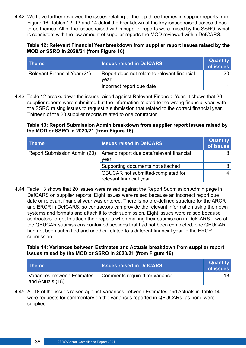4.42 We have further reviewed the issues relating to the top three themes in supplier reports from Figure 16. Tables 12, 13 and 14 detail the breakdown of the key issues raised across these three themes. All of the issues raised within supplier reports were raised by the SSRO, which is consistent with the low amount of supplier reports the MOD reviewed within DefCARS.

#### **Table 12: Relevant Financial Year breakdown from supplier report issues raised by the MOD or SSRO in 2020/21 (from Figure 16)**

| <b>Theme</b>                 | <b>Issues raised in DefCARS</b>                      | <b>Quantity</b><br>of issues |
|------------------------------|------------------------------------------------------|------------------------------|
| Relevant Financial Year (21) | Report does not relate to relevant financial<br>vear | 20 <sub>1</sub>              |
|                              | Incorrect report due date                            |                              |

4.43 Table 12 breaks down the issues raised against Relevant Financial Year. It shows that 20 supplier reports were submitted but the information related to the wrong financial year, with the SSRO raising issues to request a submission that related to the correct fnancial year. Thirteen of the 20 supplier reports related to one contractor.

#### **Table 13: Report Submission Admin breakdown from supplier report issues raised by the MOD or SSRO in 2020/21 (from Figure 16)**

| <b>Theme</b>                        | <b>Issues raised in DefCARS</b>                               | <b>Quantity</b><br>of issues |
|-------------------------------------|---------------------------------------------------------------|------------------------------|
| <b>Report Submission Admin (20)</b> | Amend report due date/relevant financial<br>year              | 81                           |
|                                     | Supporting documents not attached                             | 8                            |
|                                     | QBUCAR not submitted/completed for<br>relevant financial year | 4                            |

4.44 Table 13 shows that 20 issues were raised against the Report Submission Admin page in DefCARS on supplier reports. Eight issues were raised because an incorrect report due date or relevant fnancial year was entered. There is no pre-defned structure for the ARCR and ERCR in DefCARS, so contractors can provide the relevant information using their own systems and formats and attach it to their submission. Eight issues were raised because contractors forgot to attach their reports when making their submission in DefCARS. Two of the QBUCAR submissions contained sections that had not been completed, one QBUCAR had not been submitted and another related to a diferent fnancial year to the ERCR submission.

#### **Table 14: Variances between Estimates and Actuals breakdown from supplier report issues raised by the MOD or SSRO in 2020/21 (from Figure 16)**

| <b>Theme</b>                                    | <b>Issues raised in DefCARS</b> | <b>Quantity</b><br>of issues |
|-------------------------------------------------|---------------------------------|------------------------------|
| Variances between Estimates<br>and Actuals (18) | Comments required for variance  | 18                           |

4.45 All 18 of the issues raised against Variances between Estimates and Actuals in Table 14 were requests for commentary on the variances reported in QBUCARs, as none were supplied.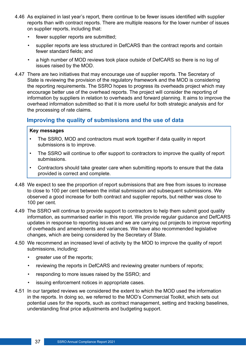- <span id="page-36-0"></span>4.46 As explained in last year's report, there continue to be fewer issues identifed with supplier reports than with contract reports. There are multiple reasons for the lower number of issues on supplier reports, including that:
	- fewer supplier reports are submitted;
	- supplier reports are less structured in DefCARS than the contract reports and contain fewer standard fields; and
	- a high number of MOD reviews took place outside of DefCARS so there is no log of issues raised by the MOD.
- 4.47 There are two initiatives that may encourage use of supplier reports. The Secretary of State is reviewing the provision of the regulatory framework and the MOD is considering the reporting requirements. The SSRO hopes to progress its overheads project which may encourage better use of the overhead reports. The project will consider the reporting of information by suppliers in relation to overheads and forward planning. It aims to improve the overhead information submitted so that it is more useful for both strategic analysis and for the processing of rate claims.

#### **Improving the quality of submissions and the use of data**

#### **Key messages**

- The SSRO, MOD and contractors must work together if data quality in report submissions is to improve.
- The SSRO will continue to offer support to contractors to improve the quality of report submissions.
- Contractors should take greater care when submitting reports to ensure that the data provided is correct and complete.
- 4.48 We expect to see the proportion of report submissions that are free from issues to increase to close to 100 per cent between the initial submission and subsequent submissions. We observed a good increase for both contract and supplier reports, but neither was close to 100 per cent.
- 4.49 The SSRO will continue to provide support to contractors to help them submit good quality information, as summarised earlier in this report. We provide regular guidance and DefCARS updates in response to reporting issues and we are carrying out projects to improve reporting of overheads and amendments and variances. We have also recommended legislative changes, which are being considered by the Secretary of State.
- 4.50 We recommend an increased level of activity by the MOD to improve the quality of report submissions, including:
	- greater use of the reports;
	- reviewing the reports in DefCARS and reviewing greater numbers of reports;
	- responding to more issues raised by the SSRO; and
	- issuing enforcement notices in appropriate cases.
- 4.51 In our targeted reviews we considered the extent to which the MOD used the information in the reports. In doing so, we referred to the MOD's Commercial Toolkit, which sets out potential uses for the reports, such as contract management, setting and tracking baselines, understanding fnal price adjustments and budgeting support.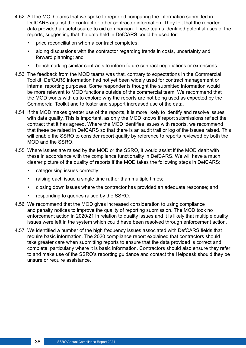- 4.52 All the MOD teams that we spoke to reported comparing the information submitted in DefCARS against the contract or other contractor information. They felt that the reported data provided a useful source to aid comparison. These teams identifed potential uses of the reports, suggesting that the data held in DefCARS could be used for:
	- price reconciliation when a contract completes;
	- aiding discussions with the contractor regarding trends in costs, uncertainty and forward planning; and
	- benchmarking similar contracts to inform future contract negotiations or extensions.
- 4.53 The feedback from the MOD teams was that, contrary to expectations in the Commercial Toolkit, DefCARS information had not yet been widely used for contract management or internal reporting purposes. Some respondents thought the submitted information would be more relevant to MOD functions outside of the commercial team. We recommend that the MOD works with us to explore why the reports are not being used as expected by the Commercial Toolkit and to foster and support increased use of the data.
- 4.54 If the MOD makes greater use of the reports, it is more likely to identify and resolve issues with data quality. This is important, as only the MOD knows if report submissions refect the contract that it has agreed. Where the MOD identifes issues with reports, we recommend that these be raised in DefCARS so that there is an audit trail or log of the issues raised. This will enable the SSRO to consider report quality by reference to reports reviewed by both the MOD and the SSRO.
- 4.55 Where issues are raised by the MOD or the SSRO, it would assist if the MOD dealt with these in accordance with the compliance functionality in DefCARS. We will have a much clearer picture of the quality of reports if the MOD takes the following steps in DefCARS:
	- categorising issues correctly;
	- raising each issue a single time rather than multiple times;
	- closing down issues where the contractor has provided an adequate response; and
	- responding to queries raised by the SSRO.
- 4.56 We recommend that the MOD gives increased consideration to using compliance and penalty notices to improve the quality of reporting submission. The MOD took no enforcement action in 2020/21 in relation to quality issues and it is likely that multiple quality issues were left in the system which could have been resolved through enforcement action.
- 4.57 We identifed a number of the high frequency issues associated with DefCARS felds that require basic information. The 2020 compliance report explained that contractors should take greater care when submitting reports to ensure that the data provided is correct and complete, particularly where it is basic information. Contractors should also ensure they refer to and make use of the SSRO's reporting guidance and contact the Helpdesk should they be unsure or require assistance.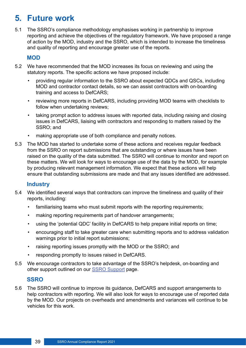## <span id="page-38-0"></span>**5. Future work**

5.1 The SSRO's compliance methodology emphasises working in partnership to improve reporting and achieve the objectives of the regulatory framework. We have proposed a range of action by the MOD, industry and the SSRO, which is intended to increase the timeliness and quality of reporting and encourage greater use of the reports.

#### **MOD**

- 5.2 We have recommended that the MOD increases its focus on reviewing and using the statutory reports. The specific actions we have proposed include:
	- providing regular information to the SSRO about expected QDCs and QSCs, including MOD and contractor contact details, so we can assist contractors with on-boarding training and access to DefCARS;
	- reviewing more reports in DefCARS, including providing MOD teams with checklists to follow when undertaking reviews;
	- taking prompt action to address issues with reported data, including raising and closing issues in DefCARS, liaising with contractors and responding to matters raised by the SSRO; and
	- making appropriate use of both compliance and penalty notices.
- 5.3 The MOD has started to undertake some of these actions and receives regular feedback from the SSRO on report submissions that are outstanding or where issues have been raised on the quality of the data submitted. The SSRO will continue to monitor and report on these matters. We will look for ways to encourage use of the data by the MOD, for example by producing relevant management information. We expect that these actions will help ensure that outstanding submissions are made and that any issues identifed are addressed.

#### **Industry**

- 5.4 We identifed several ways that contractors can improve the timeliness and quality of their reports, including:
	- familiarising teams who must submit reports with the reporting requirements;
	- making reporting requirements part of handover arrangements;
	- using the 'potential QDC' facility in DefCARS to help prepare initial reports on time;
	- encouraging staf to take greater care when submitting reports and to address validation warnings prior to initial report submissions;
	- raising reporting issues promptly with the MOD or the SSRO; and
	- responding promptly to issues raised in DefCARS.
- 5.5 We encourage contractors to take advantage of the SSRO's helpdesk, on-boarding and other support outlined on our [SSRO Support](https://www.gov.uk/guidance/ssro-support) page.

#### **SSRO**

5.6 The SSRO will continue to improve its guidance, DefCARS and support arrangements to help contractors with reporting. We will also look for ways to encourage use of reported data by the MOD. Our projects on overheads and amendments and variances will continue to be vehicles for this work.